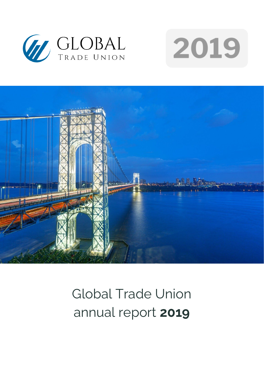





# Global Trade Union annual report **2019**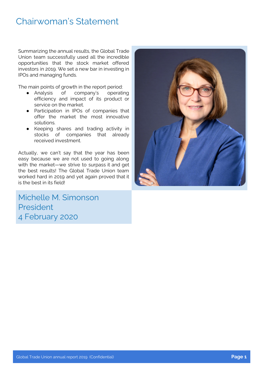## Chairwoman's Statement

Summarizing the annual results, the Global Trade Union team successfully used all the incredible opportunities that the stock market offered investors in 2019. We set a new bar in investing in IPOs and managing funds.

The main points of growth in the report period:

- Analysis of company's operating efficiency and impact of its product or service on the market.
- Participation in IPOs of companies that offer the market the most innovative solutions.
- Keeping shares and trading activity in stocks of companies that already received investment.

Actually, we can't say that the year has been easy because we are not used to going along with the market—we strive to surpass it and get the best results! The Global Trade Union team worked hard in 2019 and yet again proved that it is the best in its field!

Michelle M. Simonson President 4 February 2020

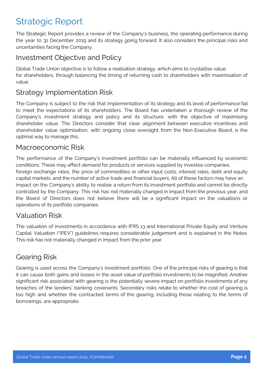# Strategic Report

The Strategic Report provides a review of the Company's business, the operating performance during the year to 31 December 2019 and its strategy going forward. It also considers the principal risks and uncertainties facing the Company.

#### Investment Objective and Policy

Global Trade Union objective is to follow a realisation strategy, which aims to crystallise value for shareholders, through balancing the timing of returning cash to shareholders with maximisation of value.

#### Strategy Implementation Risk

The Company is subject to the risk that implementation of its strategy and its level of performance fail to meet the expectations of its shareholders. The Board has undertaken a thorough review of the Company's investment strategy and policy and its structure, with the objective of maximising shareholder value. The Directors consider that clear alignment between executive incentives and shareholder value optimisation, with ongoing close oversight from the Non-Executive Board, is the optimal way to manage this.

#### Macroeconomic Risk

The performance of the Company's investment portfolio can be materially influenced by economic conditions. These may affect demand for products or services supplied by investee companies, foreign exchange rates, the price of commodities or other input costs, interest rates, debt and equity capital markets, and the number of active trade and financial buyers. All of these factors may have an impact on the Company's ability to realise a return from its investment portfolio and cannot be directly controlled by the Company. This risk has not materially changed in impact from the previous year, and the Board of Directors does not believe there will be a significant impact on the valuations or operations of its portfolio companies.

#### Valuation Risk

The valuation of investments in accordance with IFRS 13 and International Private Equity and Venture Capital Valuation ("IPEV") guidelines requires considerable judgement and is explained in the Notes. This risk has not materially changed in impact from the prior year.

## Gearing Risk

Gearing is used across the Company's investment portfolio. One of the principal risks of gearing is that it can cause both gains and losses in the asset value of portfolio investments to be magnified. Another significant risk associated with gearing is the potentially severe impact on portfolio investments of any breaches of the lenders' banking covenants. Secondary risks relate to whether the cost of gearing is too high and whether the contracted terms of the gearing, including those relating to the terms of borrowings, are appropriate.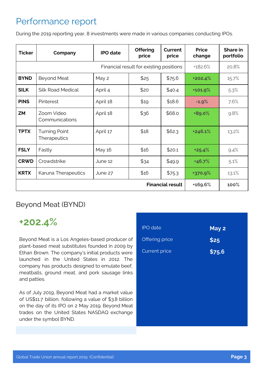## Performance report

During the 2019 reporting year, 8 investments were made in various companies conducting IPOs.

| <b>Ticker</b>                           | Company                              | <b>IPO</b> date | <b>Offering</b><br>price | Current<br>price | <b>Price</b><br>change | Share in<br>portfolio |
|-----------------------------------------|--------------------------------------|-----------------|--------------------------|------------------|------------------------|-----------------------|
| Financial result for existing positions |                                      |                 | +182.6%                  | 20.8%            |                        |                       |
| <b>BYND</b>                             | <b>Beyond Meat</b>                   | May 2           | \$25                     | \$75.6           | $+202.4%$              | 15.7%                 |
| <b>SILK</b>                             | <b>Silk Road Medical</b>             | April 4         | \$20                     | \$40.4           | +101.9%                | 5.3%                  |
| <b>PINS</b>                             | Pinterest                            | April 18        | \$19                     | \$18.6           | $-1.9%$                | 7.6%                  |
| <b>ZM</b>                               | Zoom Video<br>Communications         | April 18        | \$36                     | \$68.0           | +89.0%                 | 9.8%                  |
| <b>TPTX</b>                             | <b>Turning Point</b><br>Therapeutics | April 17        | \$18                     | \$62.3           | $+246.1%$              | 13.2%                 |
| <b>FSLY</b>                             | Fastly                               | May 16          | \$16                     | \$20.1           | $+25.4%$               | 9.4%                  |
| <b>CRWD</b>                             | Crowdstrike                          | June 12         | \$34                     | \$49.9           | $+46.7%$               | 5.1%                  |
| <b>KRTX</b>                             | Karuna Therapeutics                  | June 27         | \$16                     | \$75.3           | +370.9%                | 13.1%                 |
| <b>Financial result</b>                 |                                      |                 |                          | +169.6%          | 100%                   |                       |

Beyond Meat (BYND)

## **+202.4%**

Beyond Meat is a Los Angeles-based producer of plant-based meat substitutes founded in 2009 by Ethan Brown. The company's initial products were launched in the United States in 2012. The company has products designed to emulate beef, meatballs, ground meat, and pork sausage links and patties.

As of July 2019, Beyond Meat had a market value of US\$11.7 billion, following a value of \$3.8 billion on the day of its IPO on 2 May 2019. Beyond Meat trades on the United States NASDAQ exchange under the symbol BYND.

| <b>IPO</b> date       | May 2  |
|-----------------------|--------|
| <b>Offering price</b> | \$25   |
| <b>Current price</b>  | \$75.6 |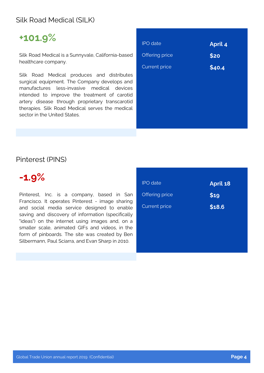#### Silk Road Medical (SILK)

## **+101.9%**

Silk Road Medical is a Sunnyvale, California-based healthcare company.

Silk Road Medical produces and distributes surgical equipment. The Company develops and manufactures less-invasive medical devices intended to improve the treatment of carotid artery disease through proprietary transcarotid therapies. Silk Road Medical serves the medical sector in the United States.

| <b>IPO</b> date      | April 4 |
|----------------------|---------|
| Offering price       | \$20    |
| <b>Current price</b> | \$40.4  |
|                      |         |
|                      |         |
|                      |         |
|                      |         |
|                      |         |

Pinterest (PINS)

## **-1.9%**

Pinterest, Inc. is a company, based in San Francisco. It operates Pinterest - image sharing and social media service designed to enable saving and discovery of information (specifically "ideas") on the internet using images and, on a smaller scale, animated GIFs and videos, in the form of pinboards. The site was created by Ben Silbermann, Paul Sciarra, and Evan Sharp in 2010.

| <b>IPO</b> date       | April 18 |
|-----------------------|----------|
| <b>Offering price</b> | \$19     |
| <b>Current price</b>  | \$18.6   |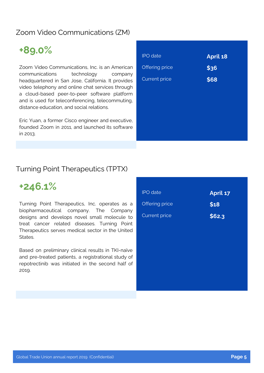## Zoom Video Communications (ZM)

# **+89.0%**

Zoom Video Communications, Inc. is an American communications technology company headquartered in San Jose, California. It provides video telephony and online chat services through a cloud-based peer-to-peer software platform and is used for teleconferencing, telecommuting, distance education, and social relations.

Eric Yuan, a former Cisco engineer and executive, founded Zoom in 2011, and launched its software in 2013.

| <b>IPO</b> date      | April 18 |
|----------------------|----------|
| Offering price       | \$36     |
| <b>Current price</b> | \$68     |
|                      |          |
|                      |          |
|                      |          |
|                      |          |
|                      |          |

## Turning Point Therapeutics (TPTX)

## **+246.1%**

Turning Point Therapeutics, Inc. operates as a biopharmaceutical company. The Company designs and develops novel small molecule to treat cancer related diseases. Turning Point Therapeutics serves medical sector in the United States.

Based on preliminary clinical results in TKI-naïve and pre-treated patients, a registrational study of repotrectinib was initiated in the second half of 2019.

| <b>IPO</b> date      | April 17 |
|----------------------|----------|
| Offering price       | \$18     |
| <b>Current price</b> | \$62.3   |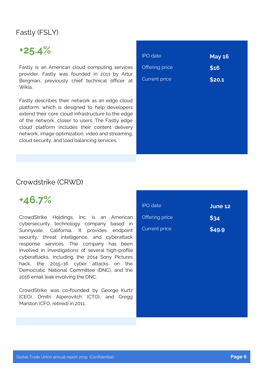## Fastly (FSLY)

## **+25.4%**

Fastly is an American cloud computing services provider. Fastly was founded in 2011 by Artur Bergman, previously chief technical officer at Wikia.

Fastly describes their network as an edge cloud platform, which is designed to help developers extend their core cloud infrastructure to the edge of the network, closer to users. The Fastly edge cloud platform includes their content delivery network, image optimization, video and streaming, cloud security, and load balancing services.

| <b>IPO</b> date      | <b>May 16</b> |
|----------------------|---------------|
| Offering price       | \$16          |
| <b>Current price</b> | \$20.1        |
|                      |               |
|                      |               |
|                      |               |
|                      |               |
|                      |               |
|                      |               |

#### Crowdstrike (CRWD)

# **+46.7%**

CrowdStrike Holdings, Inc. is an American cybersecurity technology company based in Sunnyvale, California. It provides endpoint security, threat intelligence, and cyberattack response services. The company has been involved in investigations of several high-profile cyberattacks, including the 2014 Sony Pictures hack, the 2015–16 cyber attacks on the Democratic National Committee (DNC), and the 2016 email leak involving the DNC.

CrowdStrike was co-founded by George Kurtz (CEO), Dmitri Alperovitch (CTO), and Gregg Marston (CFO, retired) in 2011.

| <b>IPO</b> date | June 12 |
|-----------------|---------|
| Offering price  | \$34    |
| Current price   | \$49.9  |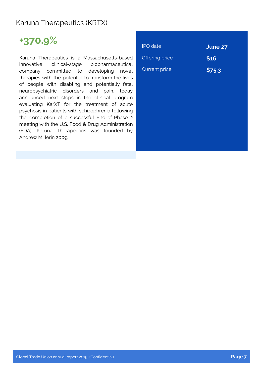## Karuna Therapeutics (KRTX)

# **+370.9%**

Karuna Therapeutics is a Massachusetts-based innovative clinical-stage biopharmaceutical company committed to developing novel therapies with the potential to transform the lives of people with disabling and potentially fatal neuropsychiatric disorders and pain, today announced next steps in the clinical program evaluating KarXT for the treatment of acute psychosis in patients with schizophrenia following the completion of a successful End-of-Phase 2 meeting with the U.S. Food & Drug Administration (FDA). Karuna Therapeutics was founded by Andrew Millerin 2009.

| <b>IPO</b> date      | <b>June 27</b> |
|----------------------|----------------|
| Offering price       | \$16           |
| <b>Current price</b> | \$75.3         |
|                      |                |
|                      |                |
|                      |                |
|                      |                |
|                      |                |
|                      |                |
|                      |                |